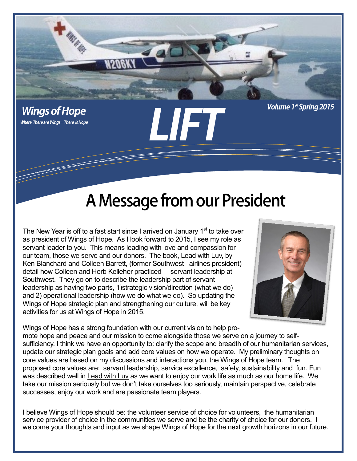Volume 1\* Spring 2015

## A Message from our President

91 F 1

The New Year is off to a fast start since I arrived on January 1<sup>st</sup> to take over as president of Wings of Hope. As I look forward to 2015, I see my role as servant leader to you. This means leading with love and compassion for our team, those we serve and our donors. The book, Lead with Luv, by Ken Blanchard and Colleen Barrett, (former Southwest airlines president) detail how Colleen and Herb Kelleher practiced servant leadership at Southwest. They go on to describe the leadership part of servant leadership as having two parts, 1)strategic vision/direction (what we do) and 2) operational leadership (how we do what we do). So updating the Wings of Hope strategic plan and strengthening our culture, will be key activities for us at Wings of Hope in 2015.

**MAGE OF ROAD** 

**Wings of Hope** 

Where There are Wings-There is Hope



1

Wings of Hope has a strong foundation with our current vision to help promote hope and peace and our mission to come alongside those we serve on a journey to selfsufficiency. I think we have an opportunity to: clarify the scope and breadth of our humanitarian services, update our strategic plan goals and add core values on how we operate. My preliminary thoughts on core values are based on my discussions and interactions you, the Wings of Hope team. The proposed core values are: servant leadership, service excellence, safety, sustainability and fun. Fun was described well in Lead with Luv as we want to enjoy our work life as much as our home life. We take our mission seriously but we don't take ourselves too seriously, maintain perspective, celebrate successes, enjoy our work and are passionate team players.

I believe Wings of Hope should be: the volunteer service of choice for volunteers, the humanitarian service provider of choice in the communities we serve and be the charity of choice for our donors. I welcome your thoughts and input as we shape Wings of Hope for the next growth horizons in our future.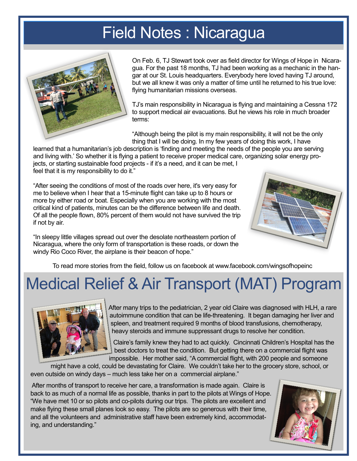### Field Notes : Nicaragua



On Feb. 6, TJ Stewart took over as field director for Wings of Hope in Nicaragua. For the past 18 months, TJ had been working as a mechanic in the hangar at our St. Louis headquarters. Everybody here loved having TJ around, but we all knew it was only a matter of time until he returned to his true love: flying humanitarian missions overseas.

TJ's main responsibility in Nicaragua is flying and maintaining a Cessna 172 to support medical air evacuations. But he views his role in much broader terms:

"Although being the pilot is my main responsibility, it will not be the only thing that I will be doing. In my few years of doing this work, I have

learned that a humanitarian's job description is 'finding and meeting the needs of the people you are serving and living with.' So whether it is flying a patient to receive proper medical care, organizing solar energy projects, or starting sustainable food projects - if it's a need, and it can be met, I feel that it is my responsibility to do it."

"After seeing the conditions of most of the roads over here, it's very easy for me to believe when I hear that a 15-minute flight can take up to 8 hours or more by either road or boat. Especially when you are working with the most critical kind of patients, minutes can be the difference between life and death. Of all the people flown, 80% percent of them would not have survived the trip if not by air.



"In sleepy little villages spread out over the desolate northeastern portion of Nicaragua, where the only form of transportation is these roads, or down the windy Rio Coco River, the airplane is their beacon of hope."

To read more stories from the field, follow us on facebook at www.facebook.com/wingsofhopeinc

# Medical Relief & Air Transport (MAT) Program



After many trips to the pediatrician, 2 year old Claire was diagnosed with HLH, a rare autoimmune condition that can be life-threatening. It began damaging her liver and spleen, and treatment required 9 months of blood transfusions, chemotherapy, heavy steroids and immune suppressant drugs to resolve her condition.

Claire's family knew they had to act quickly. Cincinnati Children's Hospital has the best doctors to treat the condition. But getting there on a commercial flight was impossible. Her mother said, "A commercial flight, with 200 people and someone

might have a cold, could be devastating for Claire. We couldn't take her to the grocery store, school, or even outside on windy days – much less take her on a commercial airplane."

After months of transport to receive her care, a transformation is made again. Claire is back to as much of a normal life as possible, thanks in part to the pilots at Wings of Hope. "We have met 10 or so pilots and co-pilots during our trips. The pilots are excellent and make flying these small planes look so easy. The pilots are so generous with their time, and all the volunteers and administrative staff have been extremely kind, accommodating, and understanding."

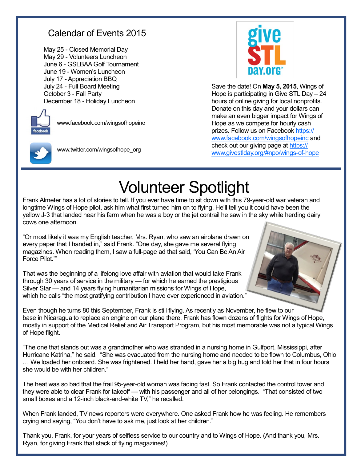#### Calendar of Events 2015

May 25 - Closed Memorial Day May 29 - Volunteers Luncheon June 6 - GSLBAA Golf Tournament June 19 - Women's Luncheon July 17 - Appreciation BBQ July 24 - Full Board Meeting October 3 - Fall Party December 18 - Holiday Luncheon



www.facebook.com/wingsofhopeinc



www.twitter.com/wingsofhope\_org



Save the date! On **May 5, 2015**, Wings of Hope is participating in Give STL Day – 24 hours of online giving for local nonprofits. Donate on this day and your dollars can make an even bigger impact for Wings of Hope as we compete for hourly cash prizes. Follow us on Facebook [https://](https://www.facebook.com/wingsofhopeinc) [www.facebook.com/wingsofhopeinc](https://www.facebook.com/wingsofhopeinc) and check out our giving page at [https://](https://www.givestlday.org/#npo/wings-of-hope) [www.givestlday.org/#npo/wings-of-hope](https://www.givestlday.org/#npo/wings-of-hope)

### Volunteer Spotlight

Frank Almeter has a lot of stories to tell. If you ever have time to sit down with this 79-year-old war veteran and longtime Wings of Hope pilot, ask him what first turned him on to flying. He'll tell you it could have been the yellow J-3 that landed near his farm when he was a boy or the jet contrail he saw in the sky while herding dairy cows one afternoon.

"Or most likely it was my English teacher, Mrs. Ryan, who saw an airplane drawn on every paper that I handed in," said Frank. "One day, she gave me several flying magazines. When reading them, I saw a full-page ad that said, 'You Can Be An Air Force Pilot.'"

That was the beginning of a lifelong love affair with aviation that would take Frank through 30 years of service in the military — for which he earned the prestigious Silver Star — and 14 years flying humanitarian missions for Wings of Hope, which he calls "the most gratifying contribution I have ever experienced in aviation."

Even though he turns 80 this September, Frank is still flying. As recently as November, he flew to our base in Nicaragua to replace an engine on our plane there. Frank has flown dozens of flights for Wings of Hope, mostly in support of the Medical Relief and Air Transport Program, but his most memorable was not a typical Wings of Hope flight.

"The one that stands out was a grandmother who was stranded in a nursing home in Gulfport, Mississippi, after Hurricane Katrina," he said. "She was evacuated from the nursing home and needed to be flown to Columbus, Ohio … We loaded her onboard. She was frightened. I held her hand, gave her a big hug and told her that in four hours she would be with her children."

The heat was so bad that the frail 95-year-old woman was fading fast. So Frank contacted the control tower and they were able to clear Frank for takeoff — with his passenger and all of her belongings. "That consisted of two small boxes and a 12-inch black-and-white TV," he recalled.

When Frank landed, TV news reporters were everywhere. One asked Frank how he was feeling. He remembers crying and saying, "You don't have to ask me, just look at her children."

Thank you, Frank, for your years of selfless service to our country and to Wings of Hope. (And thank you, Mrs. Ryan, for giving Frank that stack of flying magazines!)